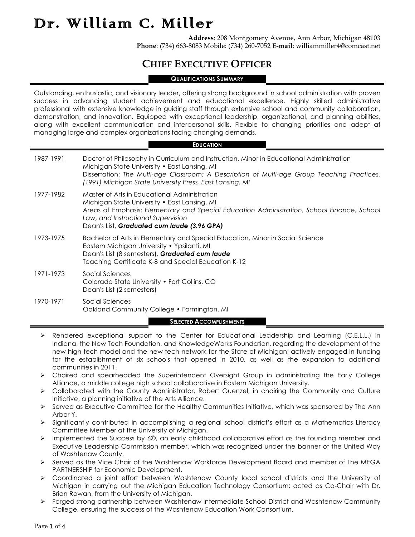**Address**: 208 Montgomery Avenue, Ann Arbor, Michigan 48103 **Phone**: (734) 663-8083 Mobile: (734) 260-7052 **E-mail**: williammiller4@comcast.net

### **CHIEF EXECUTIVE OFFICER**

### **QUALIFICATIONS SUMMARY**

Outstanding, enthusiastic, and visionary leader, offering strong background in school administration with proven success in advancing student achievement and educational excellence. Highly skilled administrative professional with extensive knowledge in guiding staff through extensive school and community collaboration, demonstration, and innovation. Equipped with exceptional leadership, organizational, and planning abilities, along with excellent communication and interpersonal skills. Flexible to changing priorities and adept at managing large and complex organizations facing changing demands.

#### **EDUCATION**

| 1987-1991 | Doctor of Philosophy in Curriculum and Instruction, Minor in Educational Administration<br>Michigan State University . East Lansing, MI<br>Dissertation: The Multi-age Classroom: A Description of Multi-age Group Teaching Practices.<br>(1991) Michigan State University Press, East Lansing, MI |
|-----------|----------------------------------------------------------------------------------------------------------------------------------------------------------------------------------------------------------------------------------------------------------------------------------------------------|
| 1977-1982 | Master of Arts in Educational Administration<br>Michigan State University . East Lansing, MI<br>Areas of Emphasis: Elementary and Special Education Administration, School Finance, School<br>Law, and Instructional Supervision<br>Dean's List, Graduated cum laude (3.96 GPA)                    |
| 1973-1975 | Bachelor of Arts in Elementary and Special Education, Minor in Social Science<br>Eastern Michigan University • Ypsilanti, MI<br>Dean's List (8 semesters), Graduated cum laude<br>Teaching Certificate K-8 and Special Education K-12                                                              |
| 1971-1973 | Social Sciences<br>Colorado State University . Fort Collins, CO<br>Dean's List (2 semesters)                                                                                                                                                                                                       |
| 1970-1971 | Social Sciences<br>Oakland Community College • Farmington, MI                                                                                                                                                                                                                                      |
|           | <b>SELECTED ACCOMPLISHMENTS</b>                                                                                                                                                                                                                                                                    |

- Ø Rendered exceptional support to the Center for Educational Leadership and Learning (C.E.L.L.) in Indiana, the New Tech Foundation, and KnowledgeWorks Foundation, regarding the development of the new high tech model and the new tech network for the State of Michigan; actively engaged in funding for the establishment of six schools that opened in 2010, as well as the expansion to additional communities in 2011.
- Ø Chaired and spearheaded the Superintendent Oversight Group in administrating the Early College Alliance, a middle college high school collaborative in Eastern Michigan University.
- Ø Collaborated with the County Administrator, Robert Guenzel, in chairing the Community and Culture Initiative, a planning initiative of the Arts Alliance.
- $\triangleright$  Served as Executive Committee for the Healthy Communities Initiative, which was sponsored by The Ann Arbor Y.
- Ø Significantly contributed in accomplishing a regional school district's effort as a Mathematics Literacy Committee Member at the University of Michigan.
- $\triangleright$  Implemented the Success by 6®, an early childhood collaborative effort as the founding member and Executive Leadership Commission member, which was recognized under the banner of the United Way of Washtenaw County.
- Ø Served as the Vice Chair of the Washtenaw Workforce Development Board and member of The MEGA PARTNERSHIP for Economic Development.
- Ø Coordinated a joint effort between Washtenaw County local school districts and the University of Michigan in carrying out the Michigan Education Technology Consortium; acted as Co-Chair with Dr. Brian Rowan, from the University of Michigan.
- Ø Forged strong partnership between Washtenaw Intermediate School District and Washtenaw Community College, ensuring the success of the Washtenaw Education Work Consortium.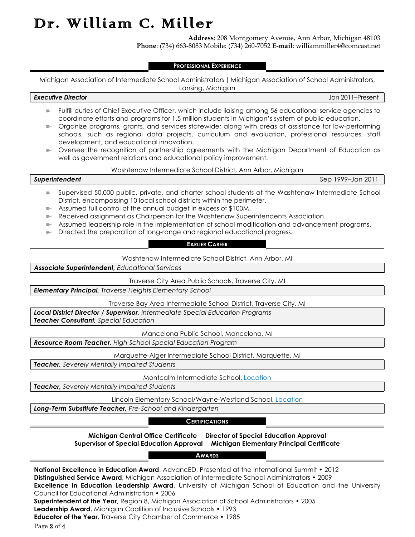**Address**: 208 Montgomery Avenue, Ann Arbor, Michigan 48103 **Phone**: (734) 663-8083 Mobile: (734) 260-7052 **E-mail**: williammiller4@comcast.net

#### **PROFESSIONAL EXPERIENCE**

Michigan Association of Intermediate School Administrators | Michigan Association of School Administrators,

#### *Executive Director* Jan 2011–Present

Lansing, Michigan

- $\blacktriangleright$  Fulfill duties of Chief Executive Officer, which include liaising among 56 educational service agencies to coordinate efforts and programs for 1.5 million students in Michigan's system of public education.
- Organize programs, grants, and services statewide; along with areas of assistance for low-performing schools, such as regional data projects, curriculum and evaluation, professional resources, staff development, and educational innovation.
- $\blacktriangleright$  Oversee the recognition of partnership agreements with the Michigan Department of Education as well as government relations and educational policy improvement.

### Washtenaw Intermediate School District, Ann Arbor, Michigan

*Superintendent* Sep 1999–Jan 2011

- e. Supervised 50,000 public, private, and charter school students at the Washtenaw Intermediate School District, encompassing 10 local school districts within the perimeter.
- Assumed full control of the annual budget in excess of \$100M.
- Received assignment as Chairperson for the Washtenaw Superintendents Association.
- Assumed leadership role in the implementation of school modification and advancement programs. **Bernard**
- $\blacktriangleright$  Directed the preparation of long-range and regional educational progress.

### **EARLIER CAREER**

Washtenaw Intermediate School District, Ann Arbor, MI

*Associate Superintendent, Educational Services*

Traverse City Area Public Schools, Traverse City, MI

*Elementary Principal, Traverse Heights Elementary School*

Traverse Bay Area Intermediate School District, Traverse City, MI

*Local District Director / Supervisor, Intermediate Special Education Programs Teacher Consultant, Special Education*

Mancelona Public School, Mancelona, MI

*Resource Room Teacher, High School Special Education Program*

Marquette-Alger Intermediate School District, Marquette, MI

*Teacher, Severely Mentally Impaired Students*

Montcalm Intermediate School, Location

*Teacher, Severely Mentally Impaired Students*

Lincoln Elementary School/Wayne-Westland School, Location

*Long-Term Substitute Teacher, Pre-School and Kindergarten*

### **CERTIFICATIONS**

**Michigan Central Office Certificate Director of Special Education Approval Supervisor of Special Education Approval Michigan Elementary Principal Certificate**

### **AWARDS**

**National Excellence in Education Award**, AdvancED, Presented at the International Summit • 2012 **Distinguished Service Award**, Michigan Association of Intermediate School Administrators • 2009 **Excellence in Education Leadership Award**, University of Michigan School of Education and the University Council for Educational Administration • 2006 **Superintendent of the Year**, Region 8, Michigan Association of School Administrators • 2005 **Leadership Award**, Michigan Coalition of Inclusive Schools • 1993 **Educator of the Year**, Traverse City Chamber of Commerce • 1985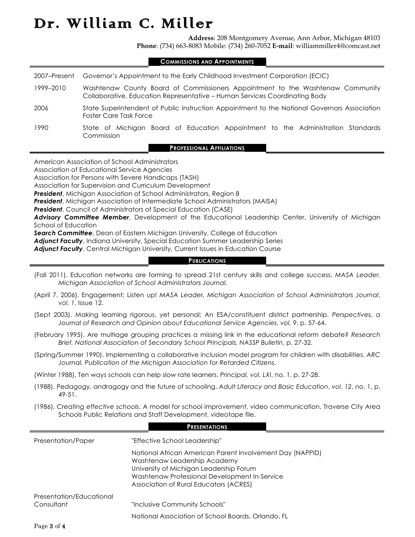**Address**: 208 Montgomery Avenue, Ann Arbor, Michigan 48103 **Phone**: (734) 663-8083 Mobile: (734) 260-7052 **E-mail**: williammiller4@comcast.net

### **COMMISSIONS AND APPOINTMENTS**

| 2007–Present | Governor's Appointment to the Early Childhood Investment Corporation (ECIC)                                                                                  |
|--------------|--------------------------------------------------------------------------------------------------------------------------------------------------------------|
| 1999-2010    | Washtenaw County Board of Commissioners Appointment to the Washtenaw Community<br>Collaborative, Education Representative – Human Services Coordinating Body |
| 2006         | State Superintendent of Public Instruction Appointment to the National Governors Association<br><b>Foster Care Task Force</b>                                |
| 1990         | State of Michigan Board of Education Appointment to the Administration Standards<br>Commission                                                               |
|              | <b>PROFESSIONAL AFFILIATIONS</b>                                                                                                                             |

American Association of School Administrators

Association of Educational Service Agencies

Association for Persons with Severe Handicaps (TASH)

Association for Supervision and Curriculum Development

*President*, Michigan Association of School Administrators, Region 8

*President*, Michigan Association of Intermediate School Administrators (MAISA)

*President*, Council of Administrators of Special Education (CASE)

*Advisory Committee Member*, Development of the Educational Leadership Center, University of Michigan School of Education

*Search Committee*, Dean of Eastern Michigan University, College of Education

*Adjunct Faculty*, Indiana University, Special Education Summer Leadership Series

*Adjunct Faculty*, Central Michigan University, Current Issues in Education Course

### **PUBLICATIONS**

- (Fall 2011). Education networks are forming to spread 21st century skills and college success. *MASA Leader, Michigan Association of School Administrators Journal.*
- (April 7, 2006). Engagement; Listen up! *MASA Leader, Michigan Association of School Administrators Journal*, *vol. 1*, Issue 12.
- (Sept 2003). Making learning rigorous, yet personal; An ESA/constituent district partnership. *Perspectives, a Journal of Research and Opinion about Educational Service Agencies*, *vol. 9*. p. 57-64.
- (February 1995). Are multiage grouping practices a missing link in the educational reform debate? *Research Brief, National Association of Secondary School Principals, NASSP Bulletin*, p. 27-32.
- (Spring/Summer 1990). Implementing a collaborative inclusion model program for children with disabilities. *ARC Journal, Publication of the Michigan Association for Retarded Citizens*.

(Winter 1988). Ten ways schools can help slow rate learners. *Principal, vol. LXI*, no. 1, p. 27-28.

- (1988). Pedagogy, andragogy and the future of schooling. *Adult Literacy and Basic Education*, *vol. 12*, no. 1, p. 49-51.
- (1986). *Creating effective schools*. A model for school improvement, video communication, Traverse City Area Schools Public Relations and Staff Development, videotape file.

#### **PRESENTATIONS**

| Presentation/Paper       | "Effective School Leadership"                                                                                                                                                                                                   |
|--------------------------|---------------------------------------------------------------------------------------------------------------------------------------------------------------------------------------------------------------------------------|
|                          | National African American Parent Involvement Day (NAPPID)<br>Washtenaw Leadership Academy<br>University of Michigan Leadership Forum<br>Washtenaw Professional Development In-Service<br>Association of Rural Educators (ACRES) |
| Presentation/Educational |                                                                                                                                                                                                                                 |
| Consultant               | "Inclusive Community Schools"                                                                                                                                                                                                   |
|                          | National Association of School Boards, Orlando, FL                                                                                                                                                                              |